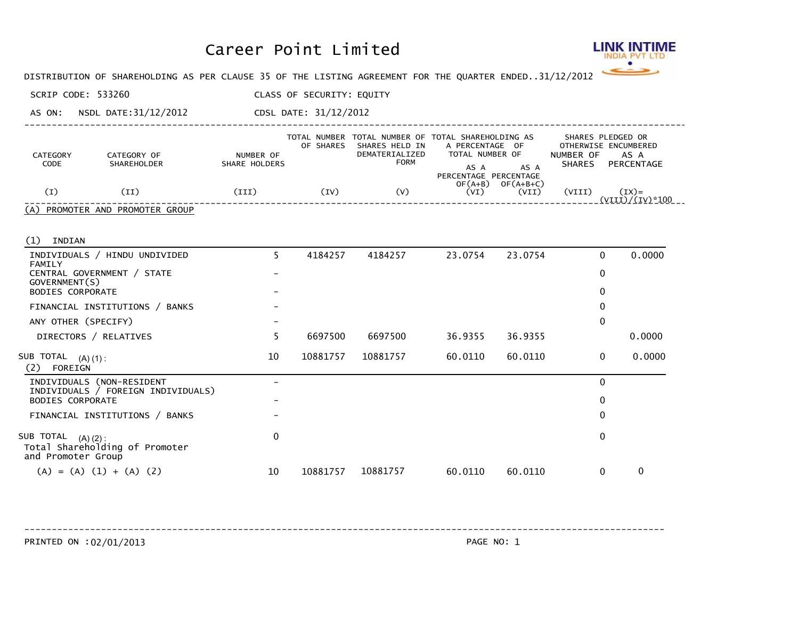

DISTRIBUTION OF SHAREHOLDING AS PER CLAUSE 35 OF THE LISTING AGREEMENT FOR THE QUARTER ENDED... 31/12/2012

SCRIP CODE: 533260 CLASS OF SECURITY: EQUITY

AS ON: NSDL DATE:31/12/2012 CDSL DATE: 31/12/2012

| CATEGORY<br>CODE | CATEGORY OF<br>SHAREHOLDER      | NUMBER OF<br>SHARE HOLDERS | OF SHARES    | SHARES HELD IN<br>DEMATERIALIZED<br>FORM | TOTAL NUMBER TOTAL NUMBER OF TOTAL SHAREHOLDING AS<br>A PERCENTAGE OF<br>TOTAL NUMBER OF<br>AS A<br>AS A | SHARES PLEDGED OR<br>OTHERWISE ENCUMBERED<br>NUMBER OF<br>AS A<br><b>SHARES</b><br>PERCENTAGE |  |
|------------------|---------------------------------|----------------------------|--------------|------------------------------------------|----------------------------------------------------------------------------------------------------------|-----------------------------------------------------------------------------------------------|--|
| Œ)               | (II)                            | (TII)                      | $({\rm IV})$ | (V)                                      | PERCENTAGE PERCENTAGE<br>$OF(A+B)$<br>$OF(A+B+C)$<br>(VI)<br>(VII)                                       | (VIII)<br>$(TX) =$<br>$(VIII)/(IV)*100$                                                       |  |
|                  | (A) PROMOTER AND PROMOTER GROUP |                            |              |                                          |                                                                                                          |                                                                                               |  |

----------------------------------------------------------------------------------------------------------------------------

(1) INDIAN

| 4184257<br>23.0754<br>23.0754<br>INDIVIDUALS / HINDU UNDIVIDED<br>4184257<br>5.<br>FAMILY        | 0<br>0      | 0.0000 |
|--------------------------------------------------------------------------------------------------|-------------|--------|
|                                                                                                  |             |        |
| CENTRAL GOVERNMENT / STATE<br>GOVERNMENT(S)                                                      |             |        |
| <b>BODIES CORPORATE</b>                                                                          | 0           |        |
| FINANCIAL INSTITUTIONS / BANKS                                                                   | 0           |        |
| ANY OTHER (SPECIFY)                                                                              | 0           |        |
| 6697500<br>6697500<br>36.9355<br>36.9355<br>DIRECTORS / RELATIVES                                |             | 0.0000 |
| 10<br>10881757<br>10881757<br>60.0110<br>60.0110<br>SUB TOTAL<br>$(A) (1)$ :<br>(2)<br>FOREIGN   | 0           | 0.0000 |
| INDIVIDUALS (NON-RESIDENT<br>INDIVIDUALS / FOREIGN INDIVIDUALS)                                  | $\mathbf 0$ |        |
| <b>BODIES CORPORATE</b>                                                                          | 0           |        |
| FINANCIAL INSTITUTIONS / BANKS                                                                   | 0           |        |
| $\mathbf{0}$<br>SUB TOTAL<br>$(A) (2)$ :<br>Total Shareholding of Promoter<br>and Promoter Group | 0           |        |
| $(A) = (A) (1) + (A) (2)$<br>10881757<br>10<br>10881757<br>60.0110<br>60.0110                    | 0           | 0      |

PRINTED ON :02/01/2013 PAGE NO: 1 ------------------------------------------------------------------------------------------------------------------------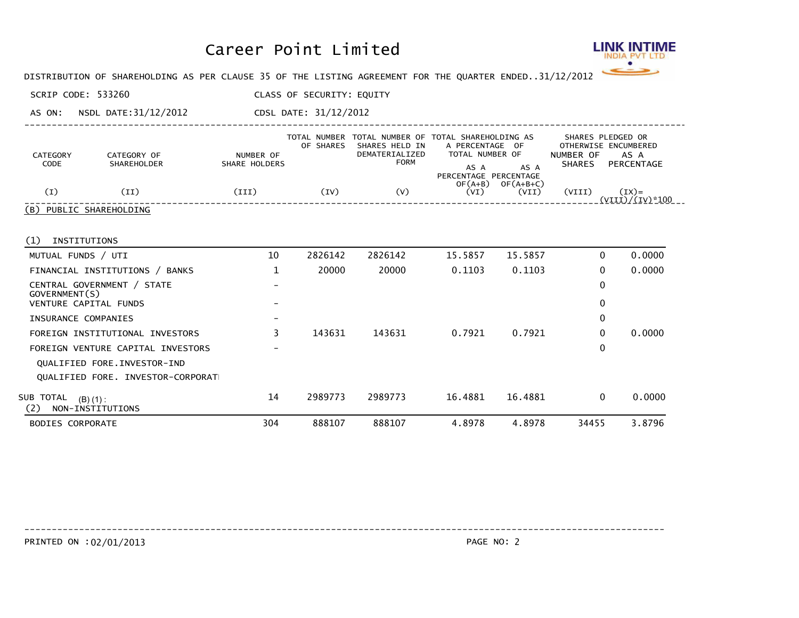

DISTRIBUTION OF SHAREHOLDING AS PER CLAUSE 35 OF THE LISTING AGREEMENT FOR THE QUARTER ENDED... 31/12/2012

SCRIP CODE: 533260 CLASS OF SECURITY: EQUITY

AS ON: NSDL DATE:31/12/2012 CDSL DATE: 31/12/2012

| CATEGORY<br>CODE | CATEGORY OF<br><b>SHAREHOLDER</b> | NUMBER OF<br>SHARE HOLDERS | OF SHARES | TOTAL NUMBER TOTAL NUMBER OF TOTAL SHAREHOLDING AS<br>SHARES HELD IN<br>DEMATERIALIZED<br><b>FORM</b> | A PERCENTAGE OF<br>TOTAL NUMBER OF<br>AS A | AS A                 | NUMBER OF<br><b>SHARES</b> | SHARES PLEDGED OR<br>OTHERWISE ENCUMBERED<br>AS A<br>PERCENTAGE |  |
|------------------|-----------------------------------|----------------------------|-----------|-------------------------------------------------------------------------------------------------------|--------------------------------------------|----------------------|----------------------------|-----------------------------------------------------------------|--|
| (I)              | ΊI                                | (III)                      | (IV)      | (V)                                                                                                   | PERCENTAGE PERCENTAGE<br>$OF(A+B)$<br>(VI) | $OF(A+B+C)$<br>(VII) | (VIII)                     | $(TX) =$<br>(VIII)/(IV)*100                                     |  |
|                  | (B) PUBLIC SHAREHOLDING           |                            |           |                                                                                                       |                                            |                      |                            |                                                                 |  |

----------------------------------------------------------------------------------------------------------------------------

(1) INSTITUTIONS

| <b>BODIES CORPORATE</b>                             | 304                      | 888107  | 888107  | 4.8978  | 4.8978  | 34455    | 3.8796 |
|-----------------------------------------------------|--------------------------|---------|---------|---------|---------|----------|--------|
| SUB TOTAL<br>$(B) (1)$ :<br>NON-INSTITUTIONS<br>(2) | 14                       | 2989773 | 2989773 | 16.4881 | 16.4881 | $\Omega$ | 0.0000 |
| OUALIFIED FORE, INVESTOR-CORPORAT                   |                          |         |         |         |         |          |        |
| QUALIFIED FORE. INVESTOR-IND                        |                          |         |         |         |         |          |        |
| FOREIGN VENTURE CAPITAL INVESTORS                   |                          |         |         |         |         | 0        |        |
| FOREIGN INSTITUTIONAL INVESTORS                     | 3                        | 143631  | 143631  | 0.7921  | 0.7921  | 0        | 0.0000 |
| INSURANCE COMPANIES                                 | $\qquad \qquad$          |         |         |         |         | 0        |        |
| VENTURE CAPITAL FUNDS                               | $\overline{\phantom{0}}$ |         |         |         |         | 0        |        |
| CENTRAL GOVERNMENT / STATE<br>GOVERNMENT(S)         | $\overline{\phantom{0}}$ |         |         |         |         | 0        |        |
| FINANCIAL INSTITUTIONS / BANKS                      |                          | 20000   | 20000   | 0.1103  | 0.1103  | 0        | 0.0000 |
| MUTUAL FUNDS / UTI                                  | 10                       | 2826142 | 2826142 | 15.5857 | 15.5857 | 0        | 0.0000 |

------------------------------------------------------------------------------------------------------------------------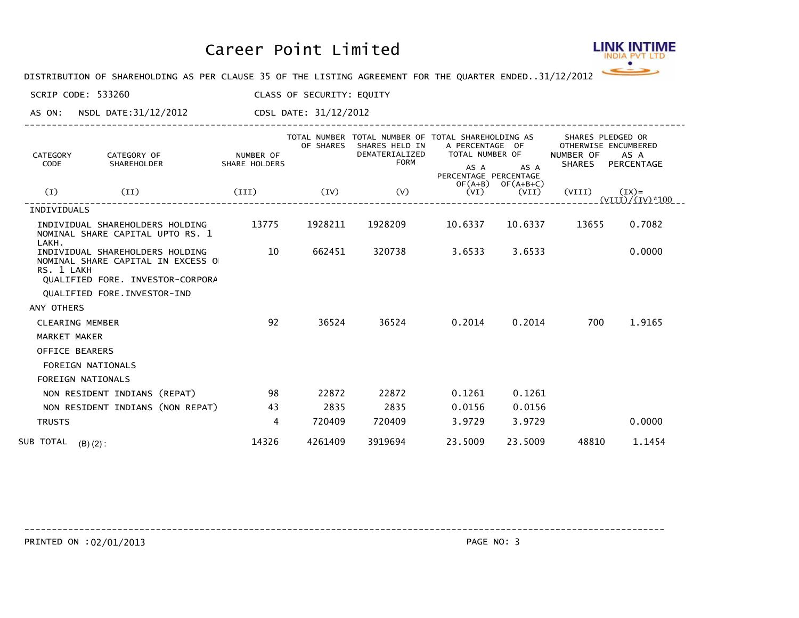

DISTRIBUTION OF SHAREHOLDING AS PER CLAUSE 35 OF THE LISTING AGREEMENT FOR THE QUARTER ENDED... 31/12/2012

SCRIP CODE: 533260 CLASS OF SECURITY: EQUITY

AS ON: NSDL DATE:31/12/2012 CDSL DATE: 31/12/2012

| CATEGORY<br>CODE       | CATEGORY OF<br>SHAREHOLDER                                                                               | NUMBER OF<br>SHARE HOLDERS | OF SHARES | TOTAL NUMBER TOTAL NUMBER OF TOTAL SHAREHOLDING AS<br>SHARES HELD IN<br>DEMATERIALIZED<br><b>FORM</b> | A PERCENTAGE OF<br>TOTAL NUMBER OF<br>AS A<br>PERCENTAGE PERCENTAGE | AS A                 | NUMBER OF<br>SHARES | SHARES PLEDGED OR<br>OTHERWISE ENCUMBERED<br>AS A<br>PERCENTAGE |
|------------------------|----------------------------------------------------------------------------------------------------------|----------------------------|-----------|-------------------------------------------------------------------------------------------------------|---------------------------------------------------------------------|----------------------|---------------------|-----------------------------------------------------------------|
| (I)                    | (II)                                                                                                     | (III)                      | (IV)      | (V)                                                                                                   | $OF(A+B)$<br>(VI)                                                   | $OF(A+B+C)$<br>(VII) | (VIII)              | $(TX) =$<br>$(VIII)/(IV)*100$                                   |
| INDIVIDUALS            |                                                                                                          |                            |           |                                                                                                       |                                                                     |                      |                     |                                                                 |
| LAKH.                  | INDIVIDUAL SHAREHOLDERS HOLDING<br>NOMINAL SHARE CAPITAL UPTO RS. 1                                      | 13775                      | 1928211   | 1928209                                                                                               | 10.6337                                                             | 10.6337              | 13655               | 0.7082                                                          |
| RS. 1 LAKH             | INDIVIDUAL SHAREHOLDERS HOLDING<br>NOMINAL SHARE CAPITAL IN EXCESS O<br>QUALIFIED FORE. INVESTOR-CORPORA | 10                         | 662451    | 320738                                                                                                | 3.6533                                                              | 3.6533               |                     | 0.0000                                                          |
|                        | QUALIFIED FORE. INVESTOR-IND                                                                             |                            |           |                                                                                                       |                                                                     |                      |                     |                                                                 |
| ANY OTHERS             |                                                                                                          |                            |           |                                                                                                       |                                                                     |                      |                     |                                                                 |
| <b>CLEARING MEMBER</b> |                                                                                                          | 92                         | 36524     | 36524                                                                                                 | 0.2014                                                              | 0.2014               | 700                 | 1.9165                                                          |
| MARKET MAKER           |                                                                                                          |                            |           |                                                                                                       |                                                                     |                      |                     |                                                                 |
| OFFICE BEARERS         |                                                                                                          |                            |           |                                                                                                       |                                                                     |                      |                     |                                                                 |
|                        | <b>FOREIGN NATIONALS</b>                                                                                 |                            |           |                                                                                                       |                                                                     |                      |                     |                                                                 |
|                        | <b>FOREIGN NATIONALS</b>                                                                                 |                            |           |                                                                                                       |                                                                     |                      |                     |                                                                 |
|                        | NON RESIDENT INDIANS (REPAT)                                                                             | 98                         | 22872     | 22872                                                                                                 | 0.1261                                                              | 0.1261               |                     |                                                                 |
|                        | NON RESIDENT INDIANS (NON REPAT)                                                                         | 43                         | 2835      | 2835                                                                                                  | 0.0156                                                              | 0.0156               |                     |                                                                 |
| <b>TRUSTS</b>          |                                                                                                          | 4                          | 720409    | 720409                                                                                                | 3.9729                                                              | 3.9729               |                     | 0.0000                                                          |
| SUB TOTAL $(B)(2)$ :   |                                                                                                          | 14326                      | 4261409   | 3919694                                                                                               | 23,5009                                                             | 23.5009              | 48810               | 1.1454                                                          |

----------------------------------------------------------------------------------------------------------------------------

------------------------------------------------------------------------------------------------------------------------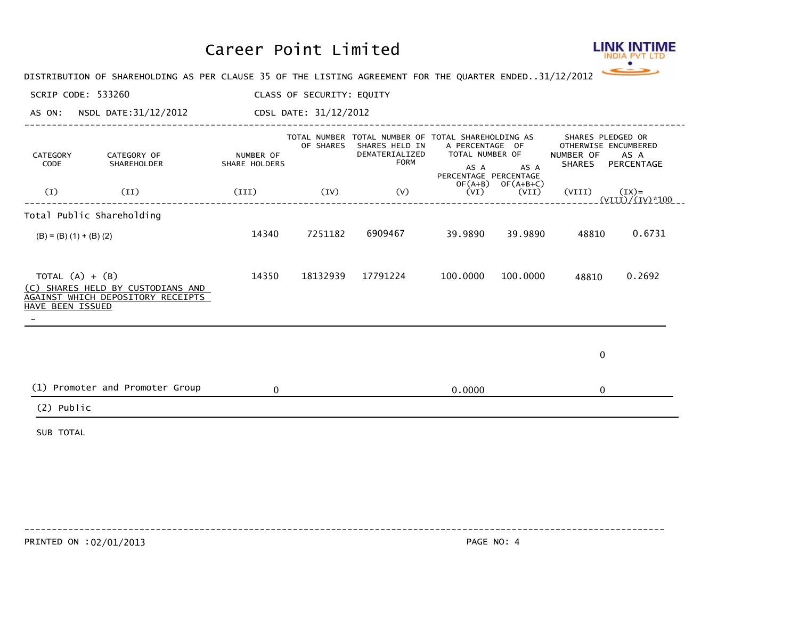

DISTRIBUTION OF SHAREHOLDING AS PER CLAUSE 35 OF THE LISTING AGREEMENT FOR THE QUARTER ENDED... 31/12/2012

SCRIP CODE: 533260 CLASS OF SECURITY: EQUITY

AS ON: NSDL DATE:31/12/2012 CDSL DATE: 31/12/2012

| CATEGORY<br>CODE<br>(I)               | CATEGORY OF<br>SHAREHOLDER<br>(II)                                     | NUMBER OF<br>SHARE HOLDERS<br>(III) | OF SHARES<br>(IV) | TOTAL NUMBER TOTAL NUMBER OF TOTAL SHAREHOLDING AS<br>SHARES HELD IN<br>DEMATERIALIZED<br><b>FORM</b><br>(V) | A PERCENTAGE OF<br>TOTAL NUMBER OF<br>AS A<br>PERCENTAGE PERCENTAGE<br>(VI) | AS A<br>$OF(A+B)$ $OF(A+B+C)$<br>(VII) | NUMBER OF<br>(VIII) | SHARES PLEDGED OR<br>OTHERWISE ENCUMBERED<br>AS A<br>SHARES PERCENTAGE<br>$(IX)=$ |
|---------------------------------------|------------------------------------------------------------------------|-------------------------------------|-------------------|--------------------------------------------------------------------------------------------------------------|-----------------------------------------------------------------------------|----------------------------------------|---------------------|-----------------------------------------------------------------------------------|
| Total Public Shareholding             |                                                                        |                                     |                   |                                                                                                              |                                                                             |                                        |                     | <u>(VIII)/(IV)*100 _ _</u>                                                        |
| $(B) = (B) (1) + (B) (2)$             |                                                                        | 14340                               | 7251182           | 6909467                                                                                                      | 39.9890                                                                     | 39.9890                                | 48810               | 0.6731                                                                            |
| TOTAL $(A) + (B)$<br>HAVE BEEN ISSUED | (C) SHARES HELD BY CUSTODIANS AND<br>AGAINST WHICH DEPOSITORY RECEIPTS | 14350                               | 18132939          | 17791224                                                                                                     | 100.0000                                                                    | 100.0000                               | 48810               | 0.2692                                                                            |
|                                       |                                                                        |                                     |                   |                                                                                                              |                                                                             |                                        | $\mathbf 0$         |                                                                                   |
|                                       | (1) Promoter and Promoter Group                                        | $\mathbf{0}$                        |                   |                                                                                                              | 0.0000                                                                      |                                        | $\Omega$            |                                                                                   |
| $(2)$ Public                          |                                                                        |                                     |                   |                                                                                                              |                                                                             |                                        |                     |                                                                                   |
| SUB TOTAL                             |                                                                        |                                     |                   |                                                                                                              |                                                                             |                                        |                     |                                                                                   |

------------------------------------------------------------------------------------------------------------------------